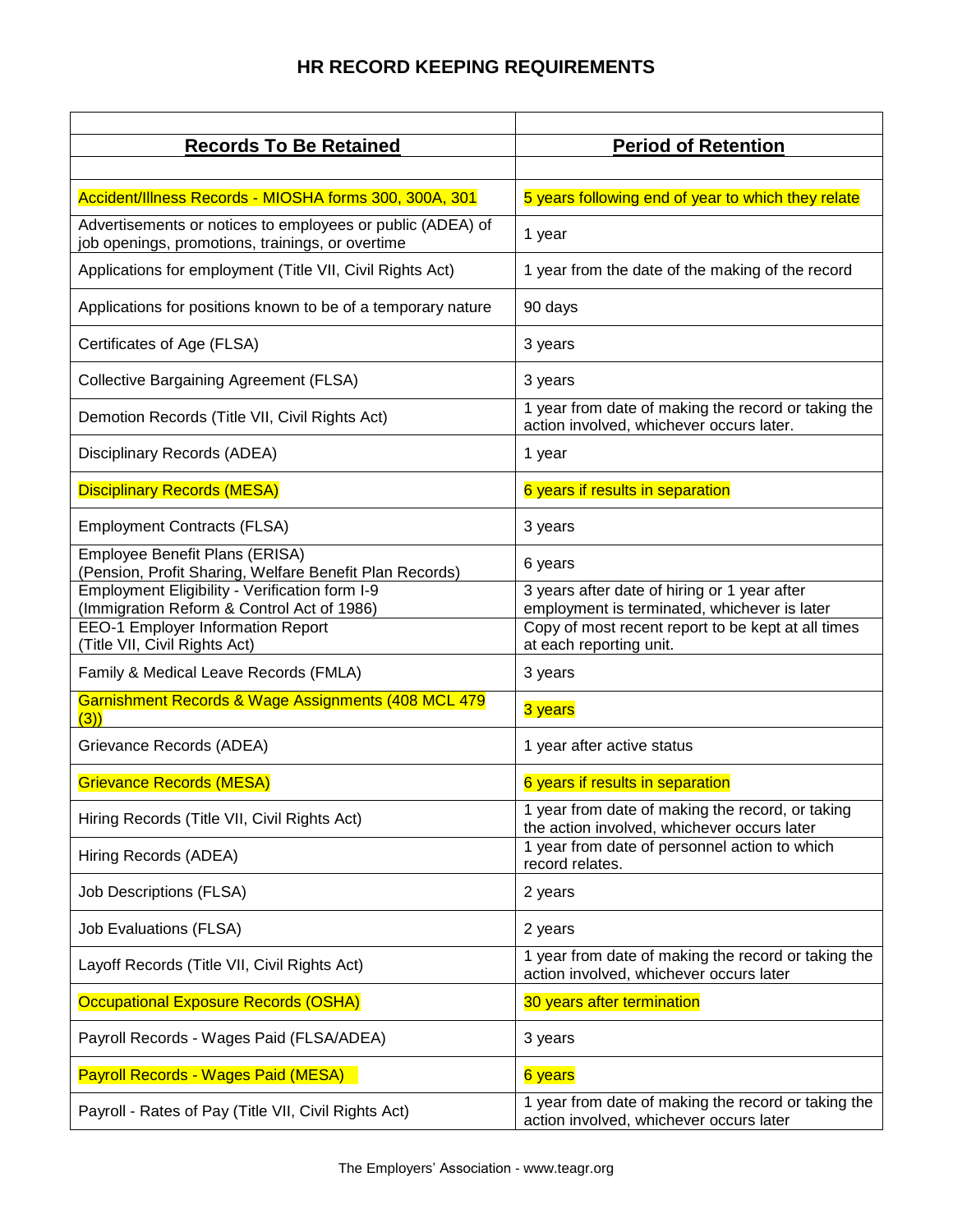## **HR RECORD KEEPING REQUIREMENTS**

| <b>Records To Be Retained</b>                                                                                  | <b>Period of Retention</b>                                                                      |
|----------------------------------------------------------------------------------------------------------------|-------------------------------------------------------------------------------------------------|
|                                                                                                                |                                                                                                 |
| Accident/Illness Records - MIOSHA forms 300, 300A, 301                                                         | 5 years following end of year to which they relate                                              |
| Advertisements or notices to employees or public (ADEA) of<br>job openings, promotions, trainings, or overtime | 1 year                                                                                          |
| Applications for employment (Title VII, Civil Rights Act)                                                      | 1 year from the date of the making of the record                                                |
| Applications for positions known to be of a temporary nature                                                   | 90 days                                                                                         |
| Certificates of Age (FLSA)                                                                                     | 3 years                                                                                         |
| <b>Collective Bargaining Agreement (FLSA)</b>                                                                  | 3 years                                                                                         |
| Demotion Records (Title VII, Civil Rights Act)                                                                 | 1 year from date of making the record or taking the<br>action involved, whichever occurs later. |
| Disciplinary Records (ADEA)                                                                                    | 1 year                                                                                          |
| <b>Disciplinary Records (MESA)</b>                                                                             | 6 years if results in separation                                                                |
| <b>Employment Contracts (FLSA)</b>                                                                             | 3 years                                                                                         |
| Employee Benefit Plans (ERISA)<br>(Pension, Profit Sharing, Welfare Benefit Plan Records)                      | 6 years                                                                                         |
| Employment Eligibility - Verification form I-9<br>(Immigration Reform & Control Act of 1986)                   | 3 years after date of hiring or 1 year after<br>employment is terminated, whichever is later    |
| <b>EEO-1 Employer Information Report</b><br>(Title VII, Civil Rights Act)                                      | Copy of most recent report to be kept at all times<br>at each reporting unit.                   |
| Family & Medical Leave Records (FMLA)                                                                          | 3 years                                                                                         |
| Garnishment Records & Wage Assignments (408 MCL 479<br>(3)                                                     | 3 years                                                                                         |
| Grievance Records (ADEA)                                                                                       | 1 year after active status                                                                      |
| <b>Grievance Records (MESA)</b>                                                                                | 6 years if results in separation                                                                |
| Hiring Records (Title VII, Civil Rights Act)                                                                   | 1 year from date of making the record, or taking<br>the action involved, whichever occurs later |
| Hiring Records (ADEA)                                                                                          | 1 year from date of personnel action to which<br>record relates.                                |
| <b>Job Descriptions (FLSA)</b>                                                                                 | 2 years                                                                                         |
| <b>Job Evaluations (FLSA)</b>                                                                                  | 2 years                                                                                         |
| Layoff Records (Title VII, Civil Rights Act)                                                                   | 1 year from date of making the record or taking the<br>action involved, whichever occurs later  |
| <b>Occupational Exposure Records (OSHA)</b>                                                                    | 30 years after termination                                                                      |
| Payroll Records - Wages Paid (FLSA/ADEA)                                                                       | 3 years                                                                                         |
| <b>Payroll Records - Wages Paid (MESA)</b>                                                                     | 6 years                                                                                         |
| Payroll - Rates of Pay (Title VII, Civil Rights Act)                                                           | 1 year from date of making the record or taking the<br>action involved, whichever occurs later  |